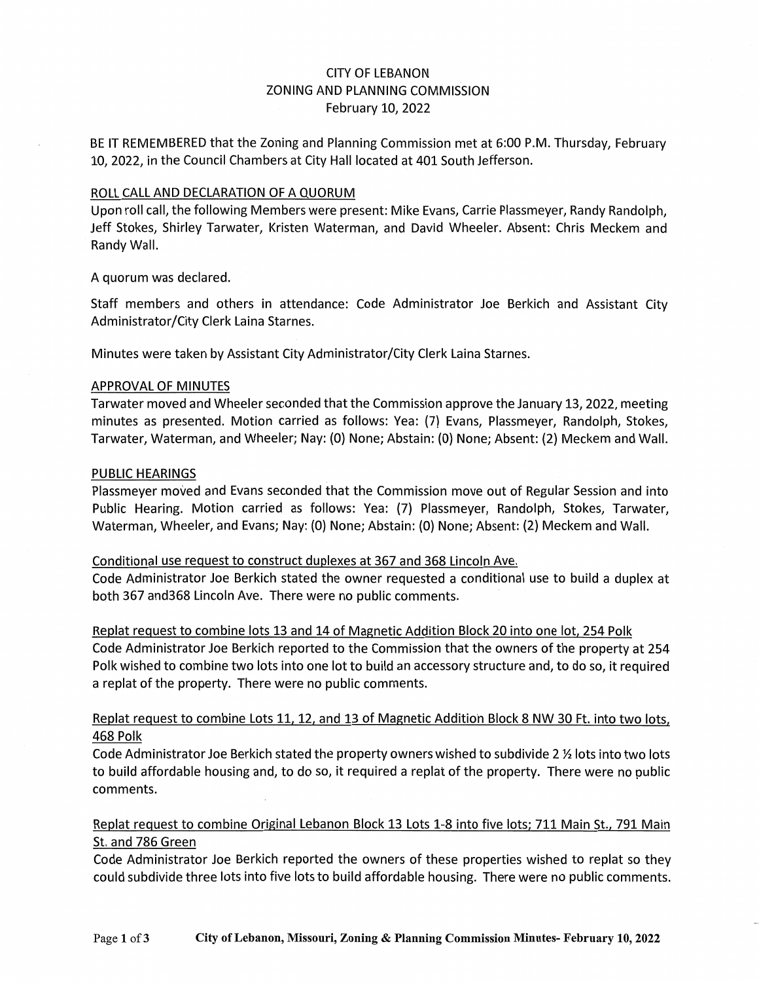## CITY OF LEBANON ZONING AND PLANNING COMMISSION February 10, 2022

BE IT REMEMBERED that the Zoning and Planning Commission met at 6:00 P.M. Thursday, February 10, 2022, in the Council Chambers at City Hall located at 401 South Jefferson.

#### ROLL CALL AND DECLARATION OF A QUORUM

Upon roll call, the following Members were present: Mike Evans, Carrie Plassmeyer, Randy Randolph, Jeff Stokes, Shirley Tarwater, Kristen Waterman, and David Wheeler. Absent: Chris Meckem and Randy Wall.

A quorum was declared.

Staff members and others in attendance: Code Administrator Joe Berkich and Assistant City Administrator/City Clerk Laina Starnes.

Minutes were taken by Assistant City Administrator/City Clerk Laina Starnes.

#### APPROVAL OF MINUTES

Tarwater moved and Wheeler seconded that the Commission approve the January 13, 2022, meeting minutes as presented. Motion carried as follows: Yea: {7) Evans, Plassmeyer, Randolph, Stokes, Tarwater, Waterman, and Wheeler; Nay: {0) None; Abstain: {0) None; Absent: {2) Meckem and Wall.

#### PUBLIC HEARINGS

Plassmeyer moved and Evans seconded that the Commission move out of Regular Session and into Public Hearing. Motion carried as follows: Yea: {7) Plassmeyer, Randolph, Stokes, Tarwater, Waterman, Wheeler, and Evans; Nay: {0) None; Abstain: {0) None; Absent: {2) Meckem and Wall.

#### Conditional use request to construct duplexes at 367 and 368 Lincoln Ave.

Code Administrator Joe Berkich stated the owner requested a conditional use to build a duplex at both 367 and368 Lincoln Ave. There were no public comments.

Replat request to combine lots 13 and 14 of Magnetic Addition Block 20 into one lot, 254 Polk Code Administrator Joe Berkich reported to the Commission that the owners of the property at 254 Polk wished to combine two lots into one lot to build an accessory structure and, to do so, it required a replat of the property. There were no public comments.

## Replat request to combine Lots 11. 12, and 13 of Magnetic Addition Block 8 NW 30 Ft. into two lots, 468 Polk

Code Administrator Joe Berkich stated the property owners wished to subdivide 2 ½ lots into two lots to build affordable housing and, to do so, it required a replat of the property. There were no public comments.

## Replat request to combine Original Lebanon Block 13 Lots 1-8 into five lots; 711 Main St., 791 Main St. and 786 Green

Code Administrator Joe Berkich reported the owners of these properties wished to replat so they could subdivide three lots into five lots to build affordable housing. There were no public comments.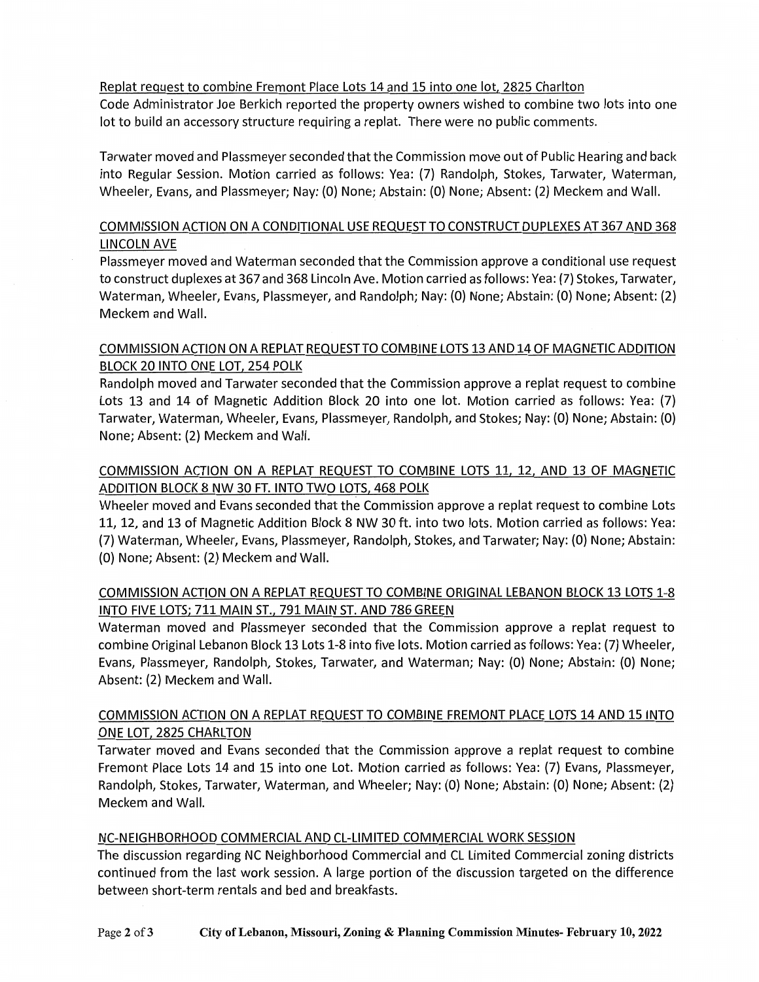## Replat request to combine Fremont Place Lots 14 and 15 into one lot, 2825 Charlton

Code Administrator Joe Berkich reported the property owners wished to combine two lots into one lot to build an accessory structure requiring a replat. There were no public comments.

Tarwater moved and Plassmeyer seconded that the Commission move out of Public Hearing and back into Regular Session. Motion carried as follows: Yea: (7) Randolph, Stokes, Tarwater, Waterman, Wheeler, Evans, and Plassmeyer; Nay: {0) None; Abstain: {0) None; Absent: (2) Meckem and Wall.

# COMMISSION ACTION ON A CONDITIONAL USE REQUEST TO CONSTRUCT DUPLEXES AT 367 AND 368 LINCOLN AVE

Plassmeyer moved and Waterman seconded that the Commission approve a conditional use request to construct duplexes at 367 and 368 Lincoln Ave. Motion carried as follows: Yea: (7) Stokes, Tarwater, Waterman, Wheeler, Evans, Plassmeyer, and Randolph; Nay: (0) None; Abstain: (0) None; Absent: (2) Meckem and Wall.

# COMMISSION ACTION ON A REPLAT REQUEST TO COMBINE LOTS 13 AND 14 OF MAGNETIC ADDITION BLOCK 20 INTO ONE LOT, 254 POLK

Randolph moved and Tarwater seconded that the Commission approve a replat request to combine Lots 13 and 14 of Magnetic Addition Block 20 into one lot. Motion carried as follows: Yea: (7) Tarwater, Waterman, Wheeler, Evans, Plassmeyer, Randolph, and Stokes; Nay: {0) None; Abstain: {0) None; Absent: (2) Meckem and Wall.

# COMMISSION ACTION ON A REPLAT REQUEST TO COMBINE LOTS 11, 12, AND 13 OF MAGNETIC ADDITION BLOCK 8 NW 30 FT. INTO TWO LOTS, 468 POLK

Wheeler moved and Evans seconded that the Commission approve a replat request to combine Lots 11, 12, and 13 of Magnetic Addition Block 8 NW 30 ft. into two lots. Motion carried as follows: Yea: (7) Waterman, Wheeler, Evans, Plassmeyer, Randolph, Stokes, and Tarwater; Nay: (0) None; Abstain: {0) None; Absent: (2) Meckem and Wall.

# COMMISSION ACTION ON A REPLAT REQUEST TO COMBINE ORIGINAL LEBANON BLOCK 13 LOTS 1-8 INTO FIVE LOTS; 711 MAIN ST., 791 MAIN ST. AND 786 GREEN

Waterman moved and Plassmeyer seconded that the Commission approve a replat request to combine Original Lebanon Block 13 Lots 1-8 into five lots. Motion carried as follows: Yea: (7) Wheeler, Evans, Plassmeyer, Randolph, Stokes, Tarwater, and Waterman; Nay: {0) None; Abstain: {O) None; Absent: (2) Meckem and Wall.

## COMMISSION ACTION ON A REPLAT REQUEST TO COMBINE FREMONT PLACE LOTS 14 AND 15 INTO ONE LOT, 2825 CHARLTON

Tarwater moved and Evans seconded that the Commission approve a replat request to combine Fremont Place Lots 14 and 15 into one Lot. Motion carried as follows: Yea: {7) Evans, Plassmeyer, Randolph, Stokes, Tarwater, Waterman, and Wheeler; Nay: {0) None; Abstain: {0) None; Absent: (2) Meckem and Wall.

#### NC-NEIGHBORHOOD COMMERCIAL AND CL-LIMITED COMMERCIAL WORK SESSION

The discussion regarding NC Neighborhood Commercial and CL Limited Commercial zoning districts continued from the last work session. A large portion of the discussion targeted on the difference between short-term rentals and bed and breakfasts.